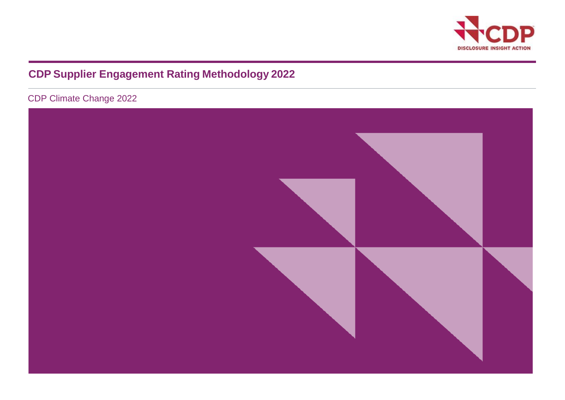

# **CDP Supplier Engagement Rating Methodology 2022**

CDP Climate Change 2022

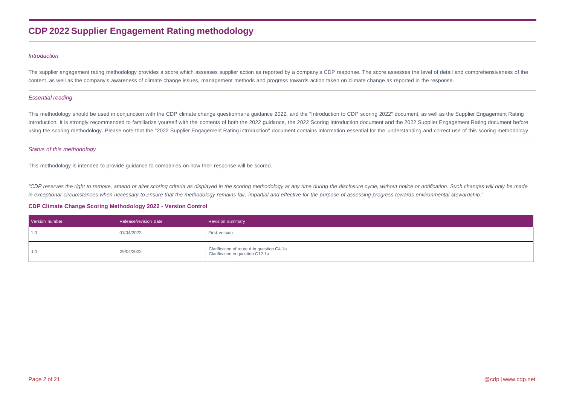## **CDP 2022 Supplier Engagement Rating methodology**

#### *Introduction*

The supplier engagement rating methodology provides a score which assesses supplier action as reported by a company's CDP response. The score assesses the level of detail and comprehensiveness of the content, as well as the company's awareness of climate change issues, management methods and progress towards action taken on climate change as reported in the response.

#### *Essential reading*

This methodology should be used in conjunction with the CDP climate change questionnaire guidance 2022, and the "Introduction to CDP scoring 2022" document, as well as the Supplier Engagement Rating Introduction. It is strongly recommended to familiarize yourself with the contents of both the 2022 guidance, the 2022 Scoring introduction document and the 2022 Supplier Engagement Rating document before using the scoring methodology. Please note that the "2022 Supplier Engagement Rating introduction" document contains information essential for the understanding and correct use of this scoring methodology.

#### *Status of this methodology*

This methodology is intended to provide guidance to companies on how their response will be scored.

"CDP reserves the right to remove, amend or alter scoring criteria as displayed in the scoring methodology at any time during the disclosure cycle, without notice or notification. Such changes will only be made in exceptional circumstances when necessary to ensure that the methodology remains fair, impartial and effective for the purpose of assessing progress towards environmental stewardship."

#### **CDP Climate Change Scoring Methodology 2022 - Version Control**

| Version number | Release/revision date | <b>Revision summary</b>                                                        |
|----------------|-----------------------|--------------------------------------------------------------------------------|
| 1.0            | 01/04/2022            | First version                                                                  |
|                | 29/04/2022            | Clarification of route A in question C4.1a<br>Clarification in question C12.1a |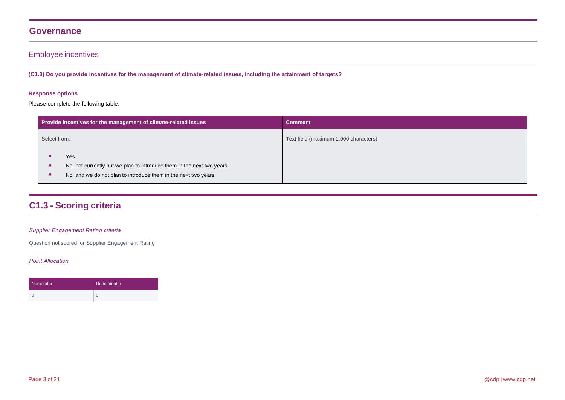## **Governance**

## Employee incentives

(C1.3) Do you provide incentives for the management of climate-related issues, including the attainment of targets?

## **Response options**

Please complete the following table:

|              | Provide incentives for the management of climate-related issues                                                                                | <b>Comment</b>                        |
|--------------|------------------------------------------------------------------------------------------------------------------------------------------------|---------------------------------------|
| Select from: |                                                                                                                                                | Text field (maximum 1,000 characters) |
|              | Yes<br>No, not currently but we plan to introduce them in the next two years<br>No, and we do not plan to introduce them in the next two years |                                       |

## **C1.3 - Scoring criteria**

### *Supplier Engagement Rating criteria*

Question not scored for Supplier Engagement Rating

| Numerator | <b>Denominator</b> |  |  |
|-----------|--------------------|--|--|
|           |                    |  |  |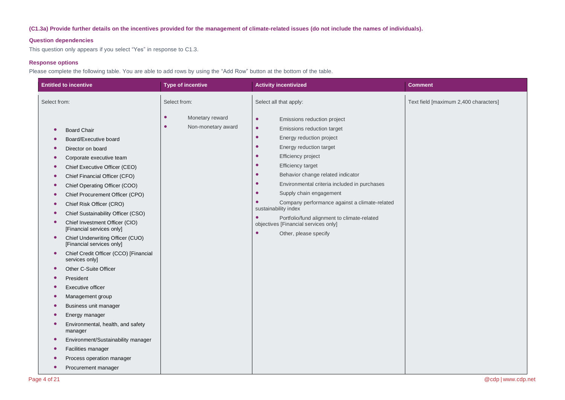### (C1.3a) Provide further details on the incentives provided for the management of climate-related issues (do not include the names of individuals).

### **Question dependencies**

This question only appears if you select "Yes" in response to C1.3.

### **Response options**

Please complete the following table. You are able to add rows by using the "Add Row" button at the bottom of the table.

| <b>Entitled to incentive</b>                                                                                                                                                                                                                                                                                                                                                                                                                                                                                                                                                                                                                                                                                                                                                                                                                                                                                                                                                                                   | <b>Type of incentive</b>                                        | <b>Activity incentivized</b>                                                                                                                                                                                                                                                                                                                                                                                                                                                                                                                                                                                                            | <b>Comment</b>                        |
|----------------------------------------------------------------------------------------------------------------------------------------------------------------------------------------------------------------------------------------------------------------------------------------------------------------------------------------------------------------------------------------------------------------------------------------------------------------------------------------------------------------------------------------------------------------------------------------------------------------------------------------------------------------------------------------------------------------------------------------------------------------------------------------------------------------------------------------------------------------------------------------------------------------------------------------------------------------------------------------------------------------|-----------------------------------------------------------------|-----------------------------------------------------------------------------------------------------------------------------------------------------------------------------------------------------------------------------------------------------------------------------------------------------------------------------------------------------------------------------------------------------------------------------------------------------------------------------------------------------------------------------------------------------------------------------------------------------------------------------------------|---------------------------------------|
| Select from:                                                                                                                                                                                                                                                                                                                                                                                                                                                                                                                                                                                                                                                                                                                                                                                                                                                                                                                                                                                                   | Select from:                                                    | Select all that apply:                                                                                                                                                                                                                                                                                                                                                                                                                                                                                                                                                                                                                  | Text field [maximum 2,400 characters] |
| <b>Board Chair</b><br>$\bullet$<br>Board/Executive board<br>Director on board<br>Corporate executive team<br>$\bullet$<br>Chief Executive Officer (CEO)<br>$\bullet$<br>Chief Financial Officer (CFO)<br>$\bullet$<br>Chief Operating Officer (COO)<br>$\bullet$<br>Chief Procurement Officer (CPO)<br>$\bullet$<br>Chief Risk Officer (CRO)<br>$\bullet$<br>Chief Sustainability Officer (CSO)<br>$\bullet$<br>Chief Investment Officer (CIO)<br>$\bullet$<br>[Financial services only]<br>Chief Underwriting Officer (CUO)<br>$\bullet$<br>[Financial services only]<br>Chief Credit Officer (CCO) [Financial<br>$\bullet$<br>services only]<br>Other C-Suite Officer<br>$\bullet$<br>President<br>$\bullet$<br>Executive officer<br>Management group<br>C<br>Business unit manager<br>Energy manager<br>Environmental, health, and safety<br>$\bullet$<br>manager<br>Environment/Sustainability manager<br>$\bullet$<br>Facilities manager<br>Process operation manager<br>Procurement manager<br>$\bullet$ | $\bullet$<br>Monetary reward<br>$\bullet$<br>Non-monetary award | $\bullet$<br>Emissions reduction project<br>$\bullet$<br>Emissions reduction target<br>$\bullet$<br>Energy reduction project<br>$\bullet$<br>Energy reduction target<br>$\bullet$<br>Efficiency project<br>$\bullet$<br><b>Efficiency target</b><br>Behavior change related indicator<br>$\bullet$<br>Environmental criteria included in purchases<br>$\bullet$<br>Supply chain engagement<br>$\bullet$<br>$\bullet$<br>Company performance against a climate-related<br>sustainability index<br>Portfolio/fund alignment to climate-related<br>$\bullet$<br>objectives [Financial services only]<br>$\bullet$<br>Other, please specify |                                       |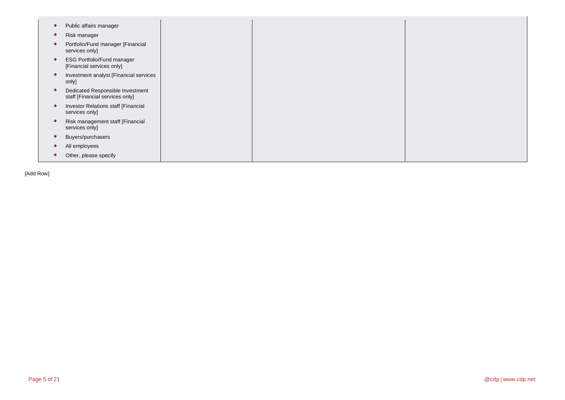| Public affairs manager                                              |
|---------------------------------------------------------------------|
| Risk manager                                                        |
| Portfolio/Fund manager [Financial<br>services only]                 |
| <b>ESG Portfolio/Fund manager</b><br>[Financial services only]      |
| Investment analyst [Financial services<br>only]                     |
| Dedicated Responsible Investment<br>staff [Financial services only] |
| Investor Relations staff [Financial<br>services only]               |
| Risk management staff [Financial<br>services only]                  |
| Buyers/purchasers                                                   |
| All employees                                                       |
| Other, please specify                                               |

[Add Row]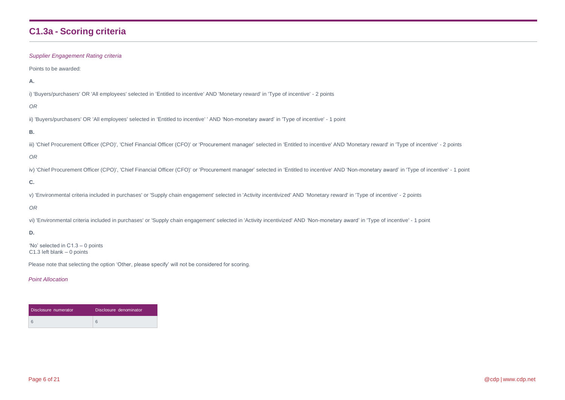# **C1.3a - Scoring criteria**

| <b>Supplier Engagement Rating criteria</b>                                                                                                                                                    |
|-----------------------------------------------------------------------------------------------------------------------------------------------------------------------------------------------|
| Points to be awarded:                                                                                                                                                                         |
| Α.                                                                                                                                                                                            |
| i) 'Buyers/purchasers' OR 'All employees' selected in 'Entitled to incentive' AND 'Monetary reward' in 'Type of incentive' - 2 points                                                         |
| 0R                                                                                                                                                                                            |
| ii) 'Buyers/purchasers' OR 'All employees' selected in 'Entitled to incentive' 'AND 'Non-monetary award' in 'Type of incentive' - 1 point                                                     |
| В.                                                                                                                                                                                            |
| iii) 'Chief Procurement Officer (CPO)', 'Chief Financial Officer (CFO)' or 'Procurement manager' selected in 'Entitled to incentive' AND 'Monetary reward' in 'Type of incentive' - 2 points  |
| 0 <sub>R</sub>                                                                                                                                                                                |
| iv) 'Chief Procurement Officer (CPO)', 'Chief Financial Officer (CFO)' or 'Procurement manager' selected in 'Entitled to incentive' AND 'Non-monetary award' in 'Type of incentive' - 1 point |
| C.                                                                                                                                                                                            |
| v) 'Environmental criteria included in purchases' or 'Supply chain engagement' selected in 'Activity incentivized' AND 'Monetary reward' in 'Type of incentive' - 2 points                    |
| 0R                                                                                                                                                                                            |
| vi) 'Environmental criteria included in purchases' or 'Supply chain engagement' selected in 'Activity incentivized' AND 'Non-monetary award' in 'Type of incentive' - 1 point                 |
| D.                                                                                                                                                                                            |
| 'No' selected in $C1.3 - 0$ points                                                                                                                                                            |

C1.3 left blank – 0 points

Please note that selecting the option 'Other, please specify' will not be considered for scoring.

| Disclosure numerator | Disclosure denominator |
|----------------------|------------------------|
|                      | 6                      |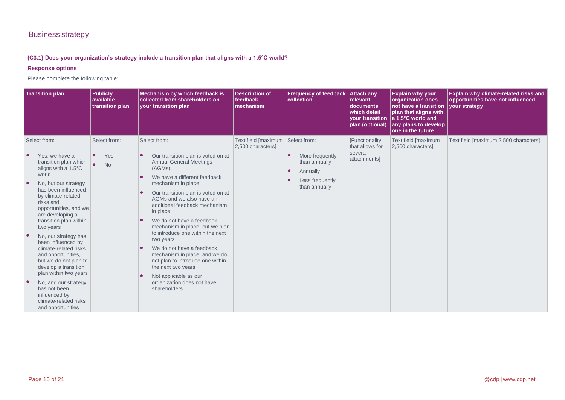## **(C3.1) Does your organization's strategy include a transition plan that aligns with a 1.5°C world?**

## **Response options**

Please complete the following table:

| <b>Transition plan</b>                                                                                                                                                                                                                                                                                                                                                                                                                                                                                                                                                | <b>Publicly</b><br>available<br>transition plan            | Mechanism by which feedback is<br>collected from shareholders on<br>your transition plan                                                                                                                                                                                                                                                                                                                                                                                                                                                                                            | <b>Description of</b><br>feedback<br>mechanism | <b>Frequency of feedback</b><br>collection                                                       | <b>Attach any</b><br>relevant<br>documents<br>which detail<br><b>your transition</b><br>plan (optional) | <b>Explain why your</b><br>organization does<br>not have a transition<br>plan that aligns with<br>$ a 1.5$ °C world and<br>any plans to develop<br>one in the future | Explain why climate-related risks and<br>opportunities have not influenced<br>vour strategy |
|-----------------------------------------------------------------------------------------------------------------------------------------------------------------------------------------------------------------------------------------------------------------------------------------------------------------------------------------------------------------------------------------------------------------------------------------------------------------------------------------------------------------------------------------------------------------------|------------------------------------------------------------|-------------------------------------------------------------------------------------------------------------------------------------------------------------------------------------------------------------------------------------------------------------------------------------------------------------------------------------------------------------------------------------------------------------------------------------------------------------------------------------------------------------------------------------------------------------------------------------|------------------------------------------------|--------------------------------------------------------------------------------------------------|---------------------------------------------------------------------------------------------------------|----------------------------------------------------------------------------------------------------------------------------------------------------------------------|---------------------------------------------------------------------------------------------|
| Select from:<br>Yes, we have a<br>transition plan which<br>aligns with a 1.5°C<br>world<br>$\bullet$<br>No, but our strategy<br>has been influenced<br>by climate-related<br>risks and<br>opportunities, and we<br>are developing a<br>transition plan within<br>two years<br>No, our strategy has<br>been influenced by<br>climate-related risks<br>and opportunities,<br>but we do not plan to<br>develop a transition<br>plan within two years<br>No, and our strategy<br>$\bullet$<br>has not been<br>influenced by<br>climate-related risks<br>and opportunities | Select from:<br>Yes<br>$\bullet$<br>$\bullet$<br><b>No</b> | Select from:<br>Our transition plan is voted on at<br><b>Annual General Meetings</b><br>(AGMs)<br>We have a different feedback<br>mechanism in place<br>Our transition plan is voted on at<br>AGMs and we also have an<br>additional feedback mechanism<br>in place<br>We do not have a feedback<br>mechanism in place, but we plan<br>to introduce one within the next<br>two years<br>We do not have a feedback<br>mechanism in place, and we do<br>not plan to introduce one within<br>the next two years<br>Not applicable as our<br>organization does not have<br>shareholders | Text field [maximum<br>2,500 characters]       | Select from:<br>More frequently<br>than annually<br>Annually<br>Less frequently<br>than annually | <b>[Functionality</b><br>that allows for<br>several<br>attachments]                                     | Text field [maximum<br>2,500 characters]                                                                                                                             | Text field [maximum 2,500 characters]                                                       |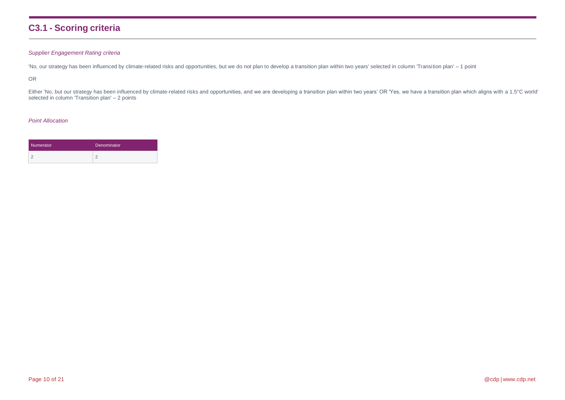## **C3.1 - Scoring criteria**

### *Supplier Engagement Rating criteria*

'No, our strategy has been influenced by climate-related risks and opportunities, but we do not plan to develop a transition plan within two years' selected in column 'Transition plan' - 1 point

OR

Either 'No, but our strategy has been influenced by climate-related risks and opportunities, and we are developing a transition plan within two years' OR 'Yes, we have a transition plan which aligns with a 1.5°C world' selected in column 'Transition plan' - 2 points

| Numerator | Denominator |  |  |
|-----------|-------------|--|--|
|           |             |  |  |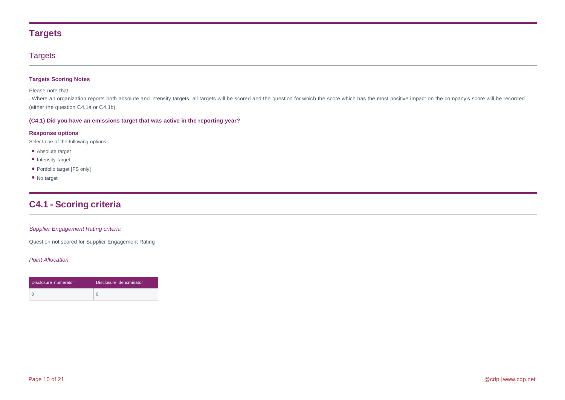## **Targets**

## **Targets**

### **Targets Scoring Notes**

Please note that:

- Where an organization reports both absolute and intensity targets, all targets will be scored and the question for which the score which has the most positive impact on the company's score will be recorded (either the question C4.1a or C4.1b).

### **(C4.1) Did you have an emissions target that was active in the reporting year?**

#### **Response options**

Select one of the following options:

- Absolute target
- Intensity target
- Portfolio target [FS only]
- No target

## **C4.1 - Scoring criteria**

### *Supplier Engagement Rating criteria*

Question not scored for Supplier Engagement Rating

| Disclosure numerator | Disclosure denominator |
|----------------------|------------------------|
|                      |                        |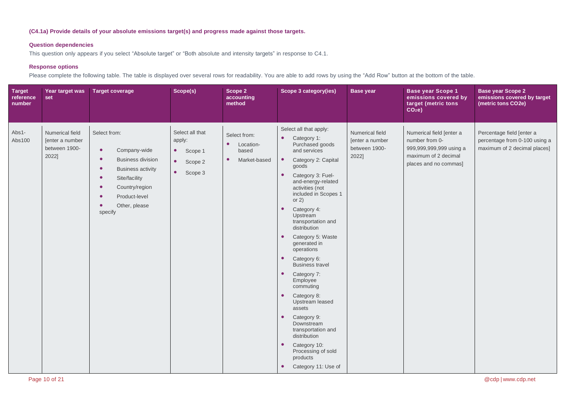## **(C4.1a) Provide details of your absolute emissions target(s) and progress made against those targets.**

### **Question dependencies**

This question only appears if you select "Absolute target" or "Both absolute and intensity targets" in response to C4.1.

## **Response options**

Please complete the following table. The table is displayed over several rows for readability. You are able to add rows by using the "Add Row" button at the bottom of the table.

| <b>Target</b><br>reference<br>number | Year target was<br>set                                       | <b>Target coverage</b>                                                                                                                                                                                      | Scope(s)                                                                                          | Scope 2<br>accounting<br>method                                              | Scope 3 category(ies)                                                                                                                                                                                                                                                                                                                                                                                                                                                                                                                                                                                                                                                                                                                                 | <b>Base year</b>                                             | <b>Base year Scope 1</b><br>emissions covered by<br>target (metric tons<br>CO <sub>2</sub> e                           | <b>Base year Scope 2</b><br>emissions covered by target<br>(metric tons CO2e)              |
|--------------------------------------|--------------------------------------------------------------|-------------------------------------------------------------------------------------------------------------------------------------------------------------------------------------------------------------|---------------------------------------------------------------------------------------------------|------------------------------------------------------------------------------|-------------------------------------------------------------------------------------------------------------------------------------------------------------------------------------------------------------------------------------------------------------------------------------------------------------------------------------------------------------------------------------------------------------------------------------------------------------------------------------------------------------------------------------------------------------------------------------------------------------------------------------------------------------------------------------------------------------------------------------------------------|--------------------------------------------------------------|------------------------------------------------------------------------------------------------------------------------|--------------------------------------------------------------------------------------------|
| Abs1-<br>Abs100                      | Numerical field<br>Jenter a number<br>between 1900-<br>2022] | Select from:<br>$\bullet$<br>Company-wide<br><b>Business division</b><br>$\bullet$<br><b>Business activity</b><br>Site/facility<br>$\bullet$<br>Country/region<br>Product-level<br>Other, please<br>specify | Select all that<br>apply:<br>$\bullet$<br>Scope 1<br>$\bullet$<br>Scope 2<br>$\bullet$<br>Scope 3 | Select from:<br>Location-<br>$\bullet$<br>based<br>Market-based<br>$\bullet$ | Select all that apply:<br>$\bullet$<br>Category 1:<br>Purchased goods<br>and services<br>Category 2: Capital<br>$\bullet$<br>goods<br>Category 3: Fuel-<br>$\bullet$<br>and-energy-related<br>activities (not<br>included in Scopes 1<br>or $2)$<br>$\bullet$<br>Category 4:<br>Upstream<br>transportation and<br>distribution<br>Category 5: Waste<br>$\bullet$<br>generated in<br>operations<br>$\bullet$<br>Category 6:<br><b>Business travel</b><br>Category 7:<br>$\bullet$<br>Employee<br>commuting<br>Category 8:<br>$\bullet$<br>Upstream leased<br>assets<br>Category 9:<br>$\bullet$<br>Downstream<br>transportation and<br>distribution<br>Category 10:<br>$\bullet$<br>Processing of sold<br>products<br>Category 11: Use of<br>$\bullet$ | Numerical field<br>[enter a number<br>between 1900-<br>2022] | Numerical field [enter a<br>number from 0-<br>999,999,999,999 using a<br>maximum of 2 decimal<br>places and no commas] | Percentage field [enter a<br>percentage from 0-100 using a<br>maximum of 2 decimal places] |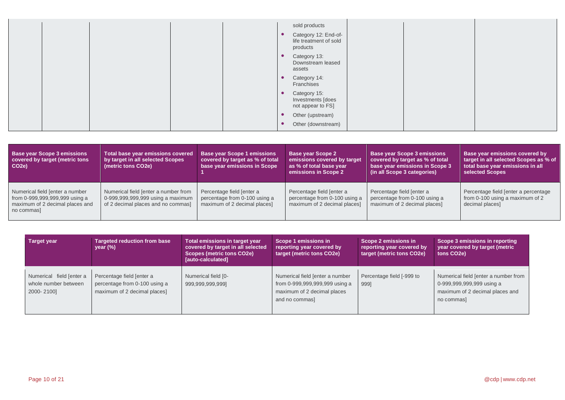|  | sold products<br>Category 12: End-of-<br>life treatment of sold<br>products |  |
|--|-----------------------------------------------------------------------------|--|
|  | Category 13:<br>Downstream leased<br>assets                                 |  |
|  | Category 14:<br>Franchises                                                  |  |
|  | Category 15:<br>Investments [does<br>not appear to FS]                      |  |
|  | Other (upstream)<br>Other (downstream)                                      |  |

| <b>Base year Scope 3 emissions</b><br>covered by target (metric tons<br>CO <sub>2</sub> e)                         | Total base year emissions covered<br>by target in all selected Scopes<br>(metric tons CO2e)                     | <b>Base year Scope 1 emissions</b><br>covered by target as % of total<br>base year emissions in Scope | <b>Base year Scope 2</b><br>emissions covered by target,<br>as % of total base year<br>emissions in Scope 2 | <b>Base year Scope 3 emissions</b><br>covered by target as % of total<br>base year emissions in Scope 3<br>(in all Scope 3 categories) | Base year emissions covered by<br>target in all selected Scopes as % of<br>total base year emissions in all<br>selected Scopes |
|--------------------------------------------------------------------------------------------------------------------|-----------------------------------------------------------------------------------------------------------------|-------------------------------------------------------------------------------------------------------|-------------------------------------------------------------------------------------------------------------|----------------------------------------------------------------------------------------------------------------------------------------|--------------------------------------------------------------------------------------------------------------------------------|
| Numerical field [enter a number<br>from 0-999,999,999,999 using a<br>maximum of 2 decimal places and<br>no commas] | Numerical field [enter a number from<br>0-999,999,999,999 using a maximum<br>of 2 decimal places and no commas] | Percentage field [enter a<br>percentage from 0-100 using a<br>maximum of 2 decimal places]            | Percentage field [enter a<br>percentage from 0-100 using a<br>maximum of 2 decimal places]                  | Percentage field [enter a<br>percentage from 0-100 using a<br>maximum of 2 decimal places]                                             | Percentage field [enter a percentage<br>from 0-100 using a maximum of 2<br>decimal places]                                     |

| <b>Target year</b>                                             | <b>Targeted reduction from base</b><br>year $(\%)$                                         | Total emissions in target year<br>covered by target in all selected<br>Scopes (metric tons CO2e)<br>[auto-calculated] | Scope 1 emissions in<br>reporting year covered by<br>target (metric tons CO2e)                                     | Scope 2 emissions in<br>reporting year covered by<br>target (metric tons CO2e) | Scope 3 emissions in reporting<br>year covered by target (metric<br>tons CO <sub>2</sub> e)                        |
|----------------------------------------------------------------|--------------------------------------------------------------------------------------------|-----------------------------------------------------------------------------------------------------------------------|--------------------------------------------------------------------------------------------------------------------|--------------------------------------------------------------------------------|--------------------------------------------------------------------------------------------------------------------|
| Numerical field [enter a<br>whole number between<br>2000-2100] | Percentage field [enter a<br>percentage from 0-100 using a<br>maximum of 2 decimal places] | Numerical field [0-<br>999,999,999,999]                                                                               | Numerical field [enter a number<br>from 0-999,999,999,999 using a<br>maximum of 2 decimal places<br>and no commas] | Percentage field [-999 to<br>9991                                              | Numerical field [enter a number from<br>0-999,999,999,999 using a<br>maximum of 2 decimal places and<br>no commas] |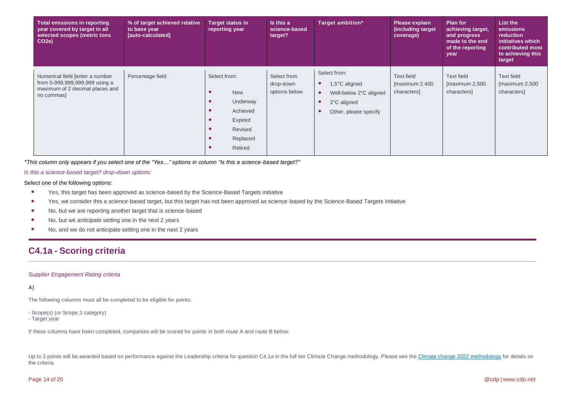| Total emissions in reporting<br>year covered by target in all<br>selected scopes (metric tons<br>CO <sub>2</sub> e) | % of target achieved relative<br>to base year<br>[auto-calculated] | <b>Target status in</b><br>reporting year                                                                    | Is this a<br>science-based<br>target?     | Target ambition*                                                                                | Please explain<br>(including target)<br>coverage)   | <b>Plan for</b><br>achieving target,<br>and progress<br>made to the end<br>of the reporting<br>year | List the<br>emissions<br>reduction<br>initiatives which<br>contributed most<br>to achieving this<br>target |
|---------------------------------------------------------------------------------------------------------------------|--------------------------------------------------------------------|--------------------------------------------------------------------------------------------------------------|-------------------------------------------|-------------------------------------------------------------------------------------------------|-----------------------------------------------------|-----------------------------------------------------------------------------------------------------|------------------------------------------------------------------------------------------------------------|
| Numerical field [enter a number<br>from 0-999,999,999,999 using a<br>maximum of 2 decimal places and<br>no commas   | Percentage field                                                   | Select from:<br><b>New</b><br>Underway<br>$\bullet$<br>Achieved<br>Expired<br>Revised<br>Replaced<br>Retired | Select from<br>drop-down<br>options below | Select from:<br>1.5°C aligned<br>Well-below 2°C aligned<br>2°C aligned<br>Other, please specify | <b>Text field</b><br>[maximum 2,400]<br>characters] | Text field<br>[maximum 2,500]<br>characters]                                                        | Text field<br>[maximum 2,500<br>characters]                                                                |

*\*This column only appears if you select one of the "Yes…" options in column "Is this a science-based target?"*

#### *Is this a science-based target? drop-down options:*

Select one of the following options:

- Yes, this target has been approved as science-based by the Science-Based Targets initiative
- Yes, we consider this a science-based target, but this target has not been approved as science-based by the Science-Based Targets initiative
- No, but we are reporting another target that is science-based
- No, but we anticipate setting one in the next 2 years
- No, and we do not anticipate setting one in the next 2 years

## **C4.1a - Scoring criteria**

#### *Supplier Engagement Rating criteria*

#### **A)**

The following columns must all be completed to be eligible for points:

- Scope(s) (or Scope 3 category)
- Target year

If these columns have been completed, companies will be scored for points in both route A and route B below:

Up to 3 points will be awarded based on performance against the Leadership criteria for question C4.1a in the full tier Climate Change methodology. Please see the [Climate change](https://guidance.cdp.net/en/guidance?cid=30&ctype=theme&idtype=ThemeID&incchild=1µsite=0&otype=ScoringMethodology&page=1&tags=TAG-605%2CTAG-646) 2022 methodology for details on the criteria.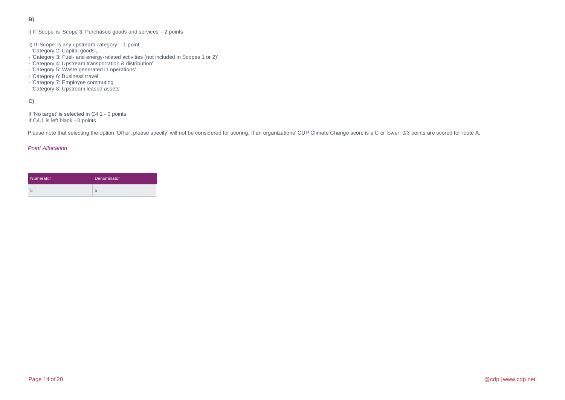**B)** 

#### i) If 'Scope' is 'Scope 3: Purchased goods and services' - 2 points

- ii) If 'Scope' is any upstream category 1 point
- 'Category 2: Capital goods',
- 'Category 3: Fuel- and energy-related activities (not included in Scopes 1 or 2)'
- 'Category 4: Upstream transportation & distribution'
- 'Category 5: Waste generated in operations'
- 'Category 6: Business travel'
- 'Category 7: Employee commuting'
- 'Category 8: Upstream leased assets'

## **C)**

If 'No target' is selected in C4.1 - 0 points If C4.1 is left blank - 0 points

Please note that selecting the option 'Other, please specify' will not be considered for scoring. If an organizations' CDP Climate Change score is a C or lower, 0/3 points are scored for route A.

| Numerator | Denominator |
|-----------|-------------|
| ÷         | h           |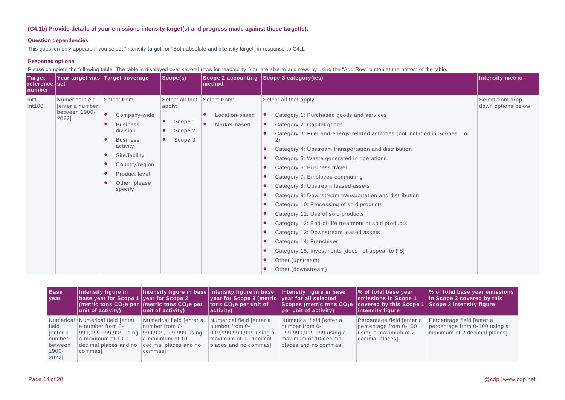### **(C4.1b) Provide details of your emissions intensity target(s) and progress made against those target(s).**

#### **Question dependencies**

This question only appears if you select "Intensity target" or "Both absolute and intensity target" in response to C4.1.

### **Response options**

Please complete the following table. The table is displayed over several rows for readability. You are able to add rows by using the "Add Row" button at the bottom of the table.

| Target<br>reference set<br>number |                                                              | Year target was Target coverage                                                                                                                                                              | Scope(s)                                                                | Scope 2 accounting<br>method                   | Scope 3 category(ies)                                                                                                                                                                                                                                                                                                                                                                                                                                                                                                                                                                                                                                                                                                                                                | Intensity metric                        |
|-----------------------------------|--------------------------------------------------------------|----------------------------------------------------------------------------------------------------------------------------------------------------------------------------------------------|-------------------------------------------------------------------------|------------------------------------------------|----------------------------------------------------------------------------------------------------------------------------------------------------------------------------------------------------------------------------------------------------------------------------------------------------------------------------------------------------------------------------------------------------------------------------------------------------------------------------------------------------------------------------------------------------------------------------------------------------------------------------------------------------------------------------------------------------------------------------------------------------------------------|-----------------------------------------|
| $Int1-$<br>Int100                 | Numerical field<br>[enter a number<br>between 1900-<br>2022] | Select from:<br>$\bullet$<br>Company-wide<br><b>Business</b><br>division<br><b>Business</b><br>activity<br>Site/facility<br>٠<br>Country/region<br>Product level<br>Other, please<br>specify | Select all that<br>apply:<br>$\bullet$<br>Scope 1<br>Scope 2<br>Scope 3 | Select from:<br>Location-based<br>Market-based | Select all that apply:<br>Category 1: Purchased goods and services<br>Category 2: Capital goods<br>Category 3: Fuel-and-energy-related activities (not included in Scopes 1 or<br>2)<br>Category 4: Upstream transportation and distribution<br>Category 5: Waste generated in operations<br>Category 6: Business travel<br>Category 7: Employee commuting<br>Category 8: Upstream leased assets<br>Category 9: Downstream transportation and distribution<br>Category 10: Processing of sold products<br>Category 11: Use of sold products<br>Category 12: End-of-life treatment of sold products<br>Category 13: Downstream leased assets<br>Category 14: Franchises<br>Category 15: Investments [does not appear to FS]<br>Other (upstream)<br>Other (downstream) | Select from drop-<br>down options below |

| <b>Base</b><br>I year                                                    | Intensity figure in<br>base year for Scope 1 vear for Scope 2<br>unit of activity)                | Intensity figure in base Intensity figure in base<br>(metric tons $CO2e$ per (metric tons $CO2e$ per<br>unit of activity)                        | $ $ year for Scope 3 (metric $ $ year for all selected<br>tons $CO2e$ per unit of<br>$ $ activity)                      | Intensity figure in base<br>Scopes (metric tons CO <sub>2</sub> e   covered by this Scope 1<br>per unit of activity)    | ∣% of total base year<br>emissions in Scope 1<br>intensity figure                             | % of total base year emissions<br>in Scope 2 covered by this<br>Scope 2 intensity figure   |
|--------------------------------------------------------------------------|---------------------------------------------------------------------------------------------------|--------------------------------------------------------------------------------------------------------------------------------------------------|-------------------------------------------------------------------------------------------------------------------------|-------------------------------------------------------------------------------------------------------------------------|-----------------------------------------------------------------------------------------------|--------------------------------------------------------------------------------------------|
| Numerical<br>field<br>Tenter a<br>number<br>between<br>$1900 -$<br>2022] | Numerical field [enter<br>a number from 0-<br>a maximum of 10<br>decimal places and no<br>commas] | Numerical field [enter a<br>number from 0-<br>999,999,999,999 using 999,999,999,999 using<br>a maximum of 10<br>decimal places and no<br>commas] | Numerical field [enter a<br>number from 0-<br>999,999,999,999 using a<br>maximum of 10 decimal<br>places and no commas] | Numerical field [enter a<br>number from 0-<br>999,999,999,999 using a<br>maximum of 10 decimal<br>places and no commas] | Percentage field [enter a<br>percentage from 0-100<br>using a maximum of 2<br>decimal places] | Percentage field [enter a<br>percentage from 0-100 using a<br>maximum of 2 decimal places] |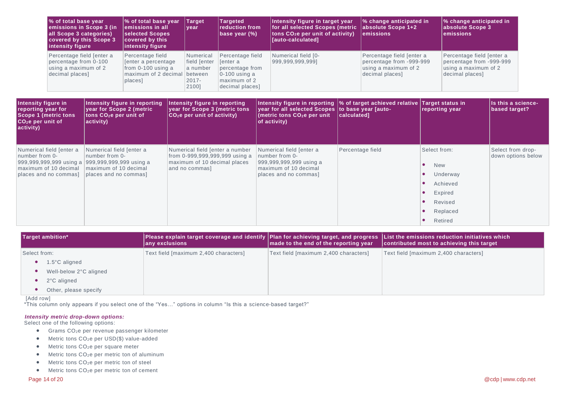| Ⅰ% of total base year<br>emissions in Scope 3 (in<br>all Scope 3 categories)<br><b>covered by this Scope 3</b><br>intensity figure | % of total base year<br>lemissions in all<br>selected Scopes<br>covered by this<br>intensity figure | Target<br>year                                                        | <b>Targeted</b><br>reduction from<br>base year $(\%)$                                                 | Intensity figure in target year<br>for all selected Scopes (metric absolute Scope 1+2<br>$\vert$ tons CO <sub>2</sub> e per unit of activity)<br>[auto-calculated] | % change anticipated in<br>lemissions                                                            | % change anticipated in<br>absolute Scope 3<br>lemissions                                        |
|------------------------------------------------------------------------------------------------------------------------------------|-----------------------------------------------------------------------------------------------------|-----------------------------------------------------------------------|-------------------------------------------------------------------------------------------------------|--------------------------------------------------------------------------------------------------------------------------------------------------------------------|--------------------------------------------------------------------------------------------------|--------------------------------------------------------------------------------------------------|
| Percentage field [enter a<br>percentage from 0-100<br>using a maximum of 2<br>decimal places]                                      | Percentage field<br>Tenter a percentage<br>from $0-100$ using a<br>maximum of 2 decimal<br>places]  | Numerical<br>field [enter<br>a number<br>between<br>$2017 -$<br>2100] | Percentage field<br>fenter a<br>percentage from<br>$0-100$ using a<br>maximum of 2<br>decimal places] | Numerical field [0-<br>999,999,999,999]                                                                                                                            | Percentage field [enter a<br>percentage from -999-999<br>using a maximum of 2<br>decimal places] | Percentage field [enter a<br>percentage from -999-999<br>using a maximum of 2<br>decimal places] |

| Intensity figure in<br>reporting year for<br><b>Scope 1 (metric tons</b><br>CO <sub>2</sub> e per unit of<br>activity) | Intensity figure in reporting<br>year for Scope 2 (metric<br>tons CO2e per unit of<br>activity)                                                 | Intensity figure in reporting<br>vear for Scope 3 (metric tons<br>$ CO_2$ e per unit of activity)                   | year for all selected Scopes to base year [auto-<br>(metric tons $CO2e$ per unit<br>$ $ of activity)                    | Intensity figure in reporting $\ket{\%}$ of target achieved relative Target status in<br>calculated1 | reporting year                                                                                  | Is this a science-<br>based target?     |
|------------------------------------------------------------------------------------------------------------------------|-------------------------------------------------------------------------------------------------------------------------------------------------|---------------------------------------------------------------------------------------------------------------------|-------------------------------------------------------------------------------------------------------------------------|------------------------------------------------------------------------------------------------------|-------------------------------------------------------------------------------------------------|-----------------------------------------|
| Numerical field [enter a<br>number from 0-<br>maximum of 10 decimal<br>places and no commas]                           | Numerical field [enter a<br>number from 0-<br>999,999,999,999 using a 999,999,999,999 using a<br>maximum of 10 decimal<br>places and no commas] | Numerical field [enter a number<br>from 0-999,999,999,999 using a<br>maximum of 10 decimal places<br>and no commas] | Numerical field [enter a<br>number from 0-<br>999,999,999,999 using a<br>maximum of 10 decimal<br>places and no commas] | Percentage field                                                                                     | Select from:<br><b>New</b><br>Underway<br>Achieved<br>Expired<br>Revised<br>Replaced<br>Retired | Select from drop-<br>down options below |

| Target ambition* |                         | any exclusions                        | made to the end of the reporting year | Please explain target coverage and identify  Plan for achieving target, and progress  List the emissions reduction initiatives which<br>contributed most to achieving this target |  |
|------------------|-------------------------|---------------------------------------|---------------------------------------|-----------------------------------------------------------------------------------------------------------------------------------------------------------------------------------|--|
| Select from:     |                         | Text field [maximum 2,400 characters] | Text field [maximum 2,400 characters] | Text field [maximum 2,400 characters]                                                                                                                                             |  |
|                  | $1.5^{\circ}$ C aligned |                                       |                                       |                                                                                                                                                                                   |  |
|                  | Well-below 2°C aligned  |                                       |                                       |                                                                                                                                                                                   |  |
|                  | 2°C aligned             |                                       |                                       |                                                                                                                                                                                   |  |
|                  | Other, please specify   |                                       |                                       |                                                                                                                                                                                   |  |

[Add row]

\*This column only appears if you select one of the "Yes…" options in column "Is this a science-based target?"

#### *Intensity metric drop-down options:*

Select one of the following options:

- Grams CO2e per revenue passenger kilometer
- Metric tons CO<sub>2</sub>e per USD(\$) value-added
- Metric tons CO<sub>2</sub>e per square meter
- $\bullet$  Metric tons CO<sub>2</sub>e per metric ton of aluminum
- Metric tons CO<sub>2</sub>e per metric ton of steel
- Metric tons CO<sub>2</sub>e per metric ton of cement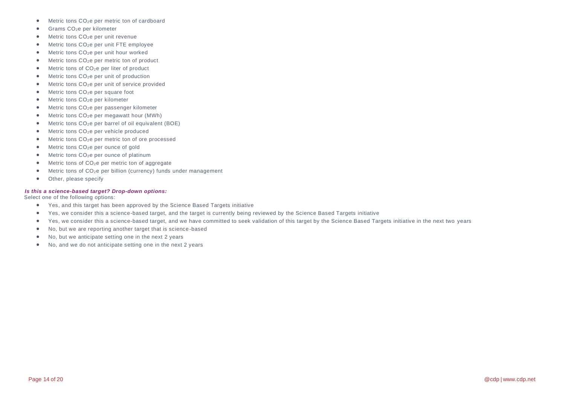- Metric tons CO<sub>2</sub>e per metric ton of cardboard
- $\bullet$  Grams CO<sub>2</sub>e per kilometer
- Metric tons CO<sub>2</sub>e per unit revenue
- Metric tons CO<sub>2</sub>e per unit FTE employee
- $\bullet$  Metric tons CO<sub>2</sub>e per unit hour worked
- Metric tons CO<sub>2</sub>e per metric ton of product
- $\bullet$  Metric tons of  $CO<sub>2</sub>e$  per liter of product
- Metric tons CO<sub>2</sub>e per unit of production
- Metric tons CO<sub>2</sub>e per unit of service provided
- $\bullet$  Metric tons CO<sub>2</sub>e per square foot
- Metric tons CO<sub>2</sub>e per kilometer
- Metric tons CO<sub>2</sub>e per passenger kilometer
- Metric tons CO<sub>2</sub>e per megawatt hour (MWh)
- Metric tons  $CO<sub>2</sub>e$  per barrel of oil equivalent (BOE)
- Metric tons CO<sub>2</sub>e per vehicle produced
- Metric tons CO2e per metric ton of ore processed
- $\bullet$  Metric tons  $CO<sub>2</sub>e$  per ounce of gold
- Metric tons CO<sub>2</sub>e per ounce of platinum
- Metric tons of CO<sub>2</sub>e per metric ton of aggregate
- Metric tons of CO<sub>2</sub>e per billion (currency) funds under management
- Other, please specify

#### *Is this a science-based target? Drop-down options:*

Select one of the following options:

- Yes, and this target has been approved by the Science Based Targets initiative
- Yes, we consider this a science-based target, and the target is currently being reviewed by the Science Based Targets initiative
- Yes, we consider this a science-based target, and we have committed to seek validation of this target by the Science Based Targets initiative in the next two years
- No, but we are reporting another target that is science-based
- No, but we anticipate setting one in the next 2 years
- No, and we do not anticipate setting one in the next 2 years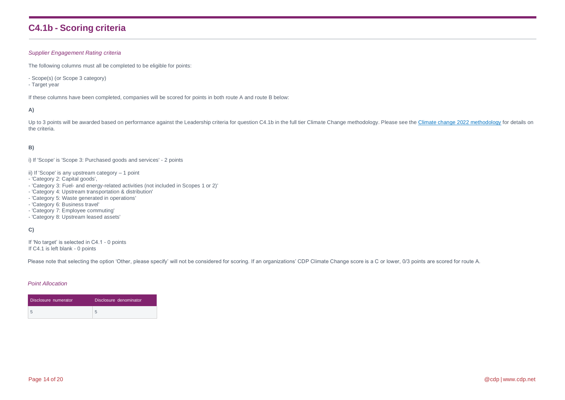## **C4.1b - Scoring criteria**

#### *Supplier Engagement Rating criteria*

The following columns must all be completed to be eligible for points:

- Scope(s) (or Scope 3 category)
- Target year

If these columns have been completed, companies will be scored for points in both route A and route B below:

#### **A)**

Up to 3 points will be awarded based on performance against the Leadership criteria for question C4.1b in the full tier Climate Change methodology. Please see the [Climate change 2022](https://guidance.cdp.net/en/guidance?cid=30&ctype=theme&idtype=ThemeID&incchild=1µsite=0&otype=ScoringMethodology&page=1&tags=TAG-605%2CTAG-646) methodology for details on the criteria.

### **B)**

i) If 'Scope' is 'Scope 3: Purchased goods and services' - 2 points

- ii) If 'Scope' is any upstream category 1 point
- 'Category 2: Capital goods',
- 'Category 3: Fuel- and energy-related activities (not included in Scopes 1 or 2)'
- 'Category 4: Upstream transportation & distribution'
- 'Category 5: Waste generated in operations'
- 'Category 6: Business travel'
- 'Category 7: Employee commuting'
- 'Category 8: Upstream leased assets'

#### **C)**

If 'No target' is selected in C4.1 - 0 points If C4.1 is left blank - 0 points

Please note that selecting the option 'Other, please specify' will not be considered for scoring. If an organizations' CDP Climate Change score is a C or lower, 0/3 points are scored for route A.

| Disclosure numerator | Disclosure denominator |
|----------------------|------------------------|
| -5                   |                        |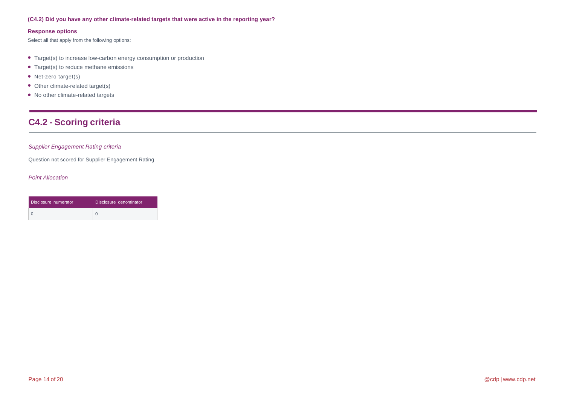### **(C4.2) Did you have any other climate-related targets that were active in the reporting year?**

#### **Response options**

Select all that apply from the following options:

- Target(s) to increase low-carbon energy consumption or production
- Target(s) to reduce methane emissions
- Net-zero target(s)
- Other climate-related target(s)
- No other climate-related targets

## **C4.2 - Scoring criteria**

### *Supplier Engagement Rating criteria*

Question not scored for Supplier Engagement Rating

| Disclosure numerator | Disclosure denominator |
|----------------------|------------------------|
|                      |                        |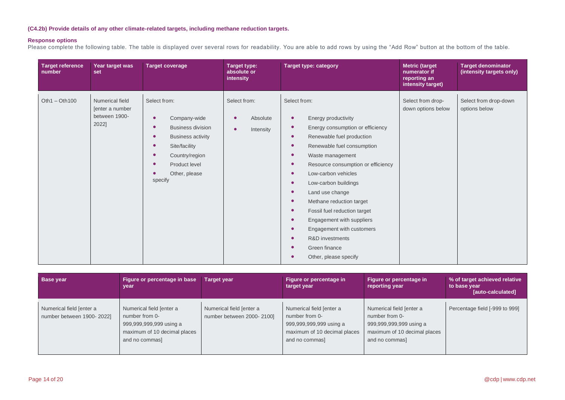## **(C4.2b) Provide details of any other climate-related targets, including methane reduction targets.**

### **Response options**

Please complete the following table. The table is displayed over several rows for readability. You are able to add rows by using the "Add Row" button at the bottom of the table.

| <b>Target reference</b><br>number | Year target was<br>set                                       | <b>Target coverage</b>                                                                                                                                                                                                                             | <b>Target type:</b><br>absolute or<br>intensity                 | <b>Target type: category</b>                                                                                                                                                                                                                                                                                                                                                                                                                                                                                                                                                                                                                                    | <b>Metric (target</b><br>numerator if<br>reporting an<br>intensity target) | <b>Target denominator</b><br>(intensity targets only) |
|-----------------------------------|--------------------------------------------------------------|----------------------------------------------------------------------------------------------------------------------------------------------------------------------------------------------------------------------------------------------------|-----------------------------------------------------------------|-----------------------------------------------------------------------------------------------------------------------------------------------------------------------------------------------------------------------------------------------------------------------------------------------------------------------------------------------------------------------------------------------------------------------------------------------------------------------------------------------------------------------------------------------------------------------------------------------------------------------------------------------------------------|----------------------------------------------------------------------------|-------------------------------------------------------|
| $Oth1 - Oth100$                   | Numerical field<br>[enter a number<br>between 1900-<br>2022] | Select from:<br>Company-wide<br>$\bullet$<br><b>Business division</b><br>$\bullet$<br><b>Business activity</b><br>$\bullet$<br>Site/facility<br>$\bullet$<br>Country/region<br>$\bullet$<br>Product level<br>$\bullet$<br>Other, please<br>specify | Select from:<br>Absolute<br>$\bullet$<br>$\bullet$<br>Intensity | Select from:<br>Energy productivity<br>$\bullet$<br>Energy consumption or efficiency<br>$\bullet$<br>Renewable fuel production<br>$\bullet$<br>Renewable fuel consumption<br>$\bullet$<br>Waste management<br>$\bullet$<br>Resource consumption or efficiency<br>$\bullet$<br>Low-carbon vehicles<br>$\bullet$<br>Low-carbon buildings<br>$\bullet$<br>Land use change<br>$\bullet$<br>Methane reduction target<br>$\bullet$<br>Fossil fuel reduction target<br>$\bullet$<br>Engagement with suppliers<br>$\bullet$<br>Engagement with customers<br>$\bullet$<br><b>R&amp;D</b> investments<br>$\bullet$<br>Green finance<br>$\bullet$<br>Other, please specify | Select from drop-<br>down options below                                    | Select from drop-down<br>options below                |

| <b>Base year</b>                                      | Figure or percentage in base<br>vear                                                                                    | <b>Target year</b>                                    | Figure or percentage in<br>target year                                                                                  | Figure or percentage in<br>reporting year                                                                               | % of target achieved relative<br>to base year<br>[auto-calculated] |
|-------------------------------------------------------|-------------------------------------------------------------------------------------------------------------------------|-------------------------------------------------------|-------------------------------------------------------------------------------------------------------------------------|-------------------------------------------------------------------------------------------------------------------------|--------------------------------------------------------------------|
| Numerical field [enter a<br>number between 1900-2022] | Numerical field [enter a<br>number from 0-<br>999,999,999,999 using a<br>maximum of 10 decimal places<br>and no commas] | Numerical field [enter a<br>number between 2000-2100] | Numerical field [enter a<br>number from 0-<br>999,999,999,999 using a<br>maximum of 10 decimal places<br>and no commas] | Numerical field [enter a<br>number from 0-<br>999,999,999,999 using a<br>maximum of 10 decimal places<br>and no commas] | Percentage field [-999 to 999]                                     |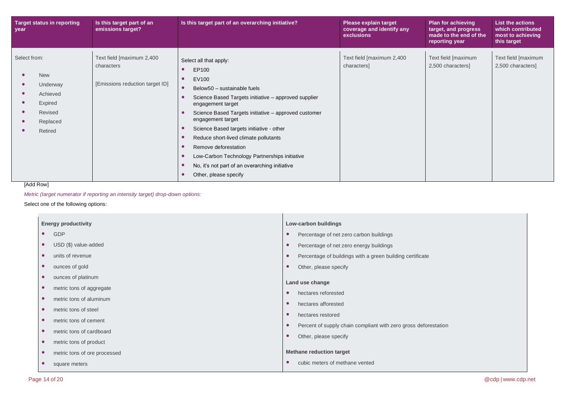| <b>Target status in reporting</b><br>year                                                       | Is this target part of an<br>emissions target?                             | Is this target part of an overarching initiative?                                                                                                                                                                                                                                                                                                                                                                                                                                                                 | Please explain target<br>coverage and identify any<br>exclusions | <b>Plan for achieving</b><br>target, and progress<br>made to the end of the<br>reporting year | <b>List the actions</b><br>which contributed<br>most to achieving<br>this target |
|-------------------------------------------------------------------------------------------------|----------------------------------------------------------------------------|-------------------------------------------------------------------------------------------------------------------------------------------------------------------------------------------------------------------------------------------------------------------------------------------------------------------------------------------------------------------------------------------------------------------------------------------------------------------------------------------------------------------|------------------------------------------------------------------|-----------------------------------------------------------------------------------------------|----------------------------------------------------------------------------------|
| Select from:<br><b>New</b><br>Underway<br>Achieved<br>Expired<br>Revised<br>Replaced<br>Retired | Text field [maximum 2,400<br>characters<br>[Emissions reduction target ID] | Select all that apply:<br>EP100<br>EV100<br>$\bullet$<br>Below50 - sustainable fuels<br>Science Based Targets initiative - approved supplier<br>engagement target<br>Science Based Targets initiative - approved customer<br>engagement target<br>Science Based targets initiative - other<br>$\bullet$<br>Reduce short-lived climate pollutants<br>Remove deforestation<br>Low-Carbon Technology Partnerships initiative<br>$\bullet$<br>No, it's not part of an overarching initiative<br>Other, please specify | Text field [maximum 2,400<br>characters]                         | Text field [maximum<br>2,500 characters]                                                      | Text field [maximum<br>2,500 characters]                                         |

## [Add Row]

*Metric (target numerator if reporting an intensity target) drop-down options:*

Select one of the following options:

| <b>Energy productivity</b>                | Low-carbon buildings                                            |  |  |
|-------------------------------------------|-----------------------------------------------------------------|--|--|
| GDP<br>$\bullet$                          | Percentage of net zero carbon buildings<br>$\bullet$            |  |  |
| USD (\$) value-added<br>$\bullet$         | Percentage of net zero energy buildings                         |  |  |
| units of revenue<br>$\bullet$             | Percentage of buildings with a green building certificate       |  |  |
| ounces of gold<br>$\bullet$               | Other, please specify                                           |  |  |
| ounces of platinum<br>$\bullet$           | Land use change                                                 |  |  |
| metric tons of aggregate<br>$\bullet$     | hectares reforested                                             |  |  |
| metric tons of aluminum<br>$\bullet$      | hectares afforested                                             |  |  |
| metric tons of steel<br>$\bullet$         | hectares restored<br>$\bullet$                                  |  |  |
| metric tons of cement<br>$\bullet$        |                                                                 |  |  |
| metric tons of cardboard<br>$\bullet$     | Percent of supply chain compliant with zero gross deforestation |  |  |
| metric tons of product<br>$\bullet$       | Other, please specify                                           |  |  |
| metric tons of ore processed<br>$\bullet$ | <b>Methane reduction target</b>                                 |  |  |
| square meters                             | cubic meters of methane vented                                  |  |  |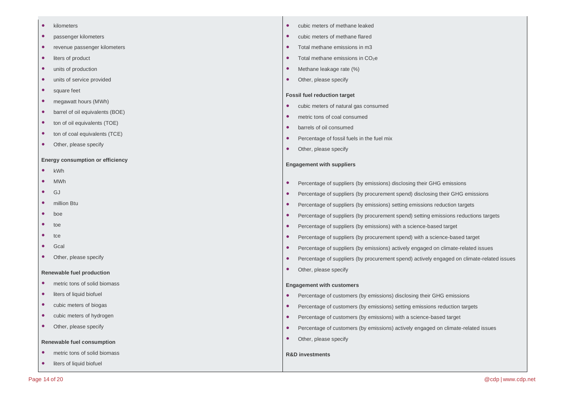- kilometers
- passenger kilometers
- revenue passenger kilometers
- liters of product
- units of production
- units of service provided
- square feet
- megawatt hours (MWh)
- barrel of oil equivalents (BOE)
- ton of oil equivalents (TOE)
- ton of coal equivalents (TCE)
- Other, please specify

#### **Energy consumption or efficiency**

- kWh
- MWh
- GJ
- million Btu
- boe
- toe
- tce
- Gcal
- Other, please specify

#### **Renewable fuel production**

- metric tons of solid biomass
- liters of liquid biofuel
- cubic meters of biogas
- cubic meters of hydrogen
- Other, please specify

#### **Renewable fuel consumption**

- metric tons of solid biomass
- liters of liquid biofuel
- cubic meters of methane leaked
- cubic meters of methane flared
- Total methane emissions in m3
- $\bullet$  Total methane emissions in CO<sub>2</sub>e
- Methane leakage rate (%)
- Other, please specify

#### **Fossil fuel reduction target**

- cubic meters of natural gas consumed
- metric tons of coal consumed
- barrels of oil consumed
- Percentage of fossil fuels in the fuel mix
- Other, please specify

#### **Engagement with suppliers**

- Percentage of suppliers (by emissions) disclosing their GHG emissions
- Percentage of suppliers (by procurement spend) disclosing their GHG emissions
- Percentage of suppliers (by emissions) setting emissions reduction targets
- Percentage of suppliers (by procurement spend) setting emissions reductions targets
- Percentage of suppliers (by emissions) with a science-based target
- Percentage of suppliers (by procurement spend) with a science-based target
- Percentage of suppliers (by emissions) actively engaged on climate-related issues
- Percentage of suppliers (by procurement spend) actively engaged on climate-related issues
- Other, please specify

#### **Engagement with customers**

- Percentage of customers (by emissions) disclosing their GHG emissions
- Percentage of customers (by emissions) setting emissions reduction targets
- Percentage of customers (by emissions) with a science-based target
- Percentage of customers (by emissions) actively engaged on climate-related issues
- Other, please specify

#### **R&D investments**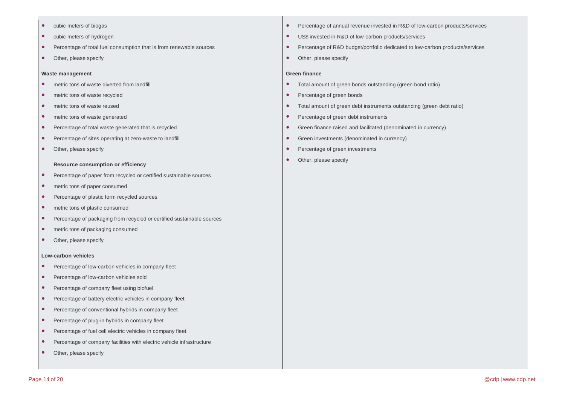- cubic meters of biogas
- cubic meters of hydrogen
- Percentage of total fuel consumption that is from renewable sources
- Other, please specify

#### **Waste management**

- metric tons of waste diverted from landfill
- metric tons of waste recycled
- metric tons of waste reused
- metric tons of waste generated
- Percentage of total waste generated that is recycled
- Percentage of sites operating at zero-waste to landfill
- Other, please specify

#### **Resource consumption or efficiency**

- Percentage of paper from recycled or certified sustainable sources
- metric tons of paper consumed
- Percentage of plastic form recycled sources
- metric tons of plastic consumed
- Percentage of packaging from recycled or certified sustainable sources
- metric tons of packaging consumed
- Other, please specify

#### **Low-carbon vehicles**

- Percentage of low-carbon vehicles in company fleet
- Percentage of low-carbon vehicles sold
- Percentage of company fleet using biofuel
- Percentage of battery electric vehicles in company fleet
- Percentage of conventional hybrids in company fleet
- Percentage of plug-in hybrids in company fleet
- Percentage of fuel cell electric vehicles in company fleet
- Percentage of company facilities with electric vehicle infrastructure
- Other, please specify
- Percentage of annual revenue invested in R&D of low-carbon products/services
- US\$ invested in R&D of low-carbon products/services
- Percentage of R&D budget/portfolio dedicated to low-carbon products/services
- Other, please specify

#### **Green finance**

- Total amount of green bonds outstanding (green bond ratio)
- Percentage of green bonds
- Total amount of green debt instruments outstanding (green debt ratio)
- Percentage of green debt instruments
- Green finance raised and facilitated (denominated in currency)
- Green investments (denominated in currency)
- Percentage of green investments
- Other, please specify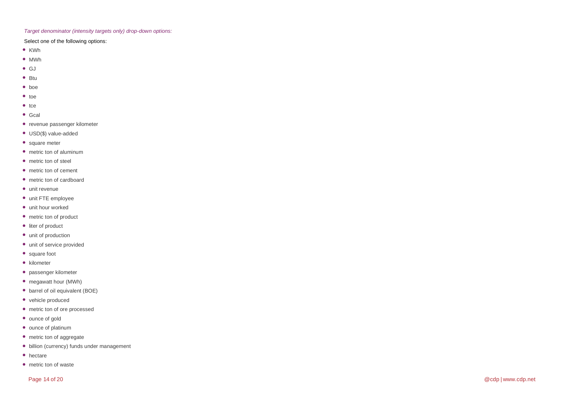#### *Target denominator (intensity targets only) drop -down options:*

### Select one of the following options:

- 
- 
- 
- 
- 
- 
- 
- 
- 
- 
- 
- 
- 
- 
- 
- 
- 
- 
- 
- 
- 
- 
- 
- 
- 
- 
- 
- 
- 
- 
- 
- 
- KWh<br>
 MWh<br>
 GJ<br>
 Btu<br>
 bte<br>
 bte<br>
e to<br>
e to<br>
e to<br>
e to<br>
e cal<br>
 revenue passenger kilometer<br>
 USD(\$) value-added<br>
 square meter<br>
 metric ton of carrelboard<br>
 metric ton of carrelboard<br>
 unit FTE employee<br>
●
- 
-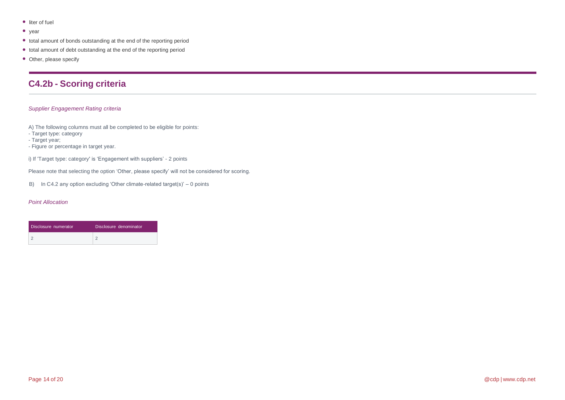- liter of fuel
- year
- total amount of bonds outstanding at the end of the reporting period
- total amount of debt outstanding at the end of the reporting period
- Other, please specify

## **C4.2b - Scoring criteria**

#### *Supplier Engagement Rating criteria*

A) The following columns must all be completed to be eligible for points:

- Target type: category

- Target year;

- Figure or percentage in target year.

i) If 'Target type: category' is 'Engagement with suppliers' - 2 points

Please note that selecting the option 'Other, please specify' will not be considered for scoring.

B) In C4.2 any option excluding 'Other climate-related target(s)' – 0 points

| Disclosure numerator | Disclosure denominator |
|----------------------|------------------------|
|                      |                        |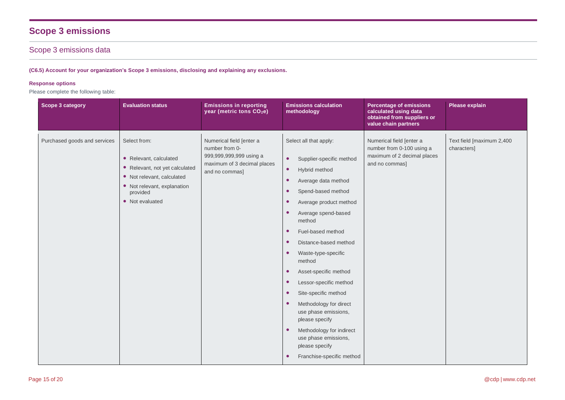# **Scope 3 emissions**

## Scope 3 emissions data

**(C6.5) Account for your organization's Scope 3 emissions, disclosing and explaining any exclusions.**

### **Response options**

Please complete the following table:

| Scope 3 category             | <b>Evaluation status</b>                                                                                                                                             | <b>Emissions in reporting</b><br>year (metric tons CO <sub>2</sub> e)                                                  | <b>Emissions calculation</b><br>methodology                                                                                                                                                                                                                                                                                                                                                                                                                                                                                                                                                                                                                                                                     | <b>Percentage of emissions</b><br>calculated using data<br>obtained from suppliers or<br>value chain partners | Please explain                           |
|------------------------------|----------------------------------------------------------------------------------------------------------------------------------------------------------------------|------------------------------------------------------------------------------------------------------------------------|-----------------------------------------------------------------------------------------------------------------------------------------------------------------------------------------------------------------------------------------------------------------------------------------------------------------------------------------------------------------------------------------------------------------------------------------------------------------------------------------------------------------------------------------------------------------------------------------------------------------------------------------------------------------------------------------------------------------|---------------------------------------------------------------------------------------------------------------|------------------------------------------|
| Purchased goods and services | Select from:<br>• Relevant, calculated<br>• Relevant, not yet calculated<br>• Not relevant, calculated<br>• Not relevant, explanation<br>provided<br>• Not evaluated | Numerical field [enter a<br>number from 0-<br>999,999,999,999 using a<br>maximum of 3 decimal places<br>and no commas] | Select all that apply:<br>Supplier-specific method<br>$\bullet$<br>$\bullet$<br>Hybrid method<br>Average data method<br>$\bullet$<br>Spend-based method<br>$\bullet$<br>Average product method<br>$\bullet$<br>Average spend-based<br>$\bullet$<br>method<br>Fuel-based method<br>$\bullet$<br>Distance-based method<br>$\bullet$<br>Waste-type-specific<br>$\bullet$<br>method<br>Asset-specific method<br>$\bullet$<br>Lessor-specific method<br>$\bullet$<br>Site-specific method<br>$\bullet$<br>Methodology for direct<br>$\bullet$<br>use phase emissions,<br>please specify<br>Methodology for indirect<br>$\bullet$<br>use phase emissions,<br>please specify<br>Franchise-specific method<br>$\bullet$ | Numerical field [enter a<br>number from 0-100 using a<br>maximum of 2 decimal places<br>and no commas]        | Text field [maximum 2,400<br>characters] |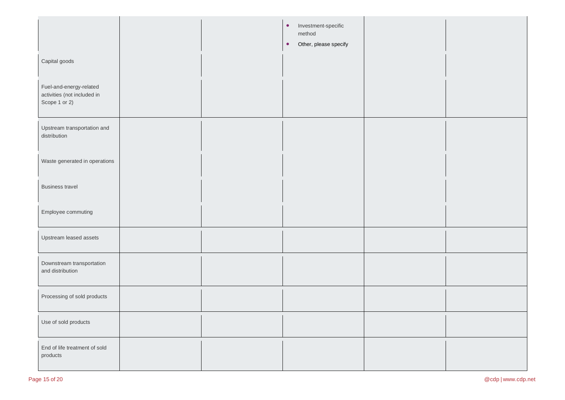|                                                                         |  | Investment-specific<br>$\bullet$<br>method<br>Other, please specify<br>$\bullet$ |  |
|-------------------------------------------------------------------------|--|----------------------------------------------------------------------------------|--|
| Capital goods                                                           |  |                                                                                  |  |
| Fuel-and-energy-related<br>activities (not included in<br>Scope 1 or 2) |  |                                                                                  |  |
| Upstream transportation and<br>distribution                             |  |                                                                                  |  |
| Waste generated in operations                                           |  |                                                                                  |  |
| <b>Business travel</b>                                                  |  |                                                                                  |  |
| Employee commuting                                                      |  |                                                                                  |  |
| Upstream leased assets                                                  |  |                                                                                  |  |
| Downstream transportation<br>and distribution                           |  |                                                                                  |  |
| Processing of sold products                                             |  |                                                                                  |  |
| Use of sold products                                                    |  |                                                                                  |  |
| End of life treatment of sold<br>products                               |  |                                                                                  |  |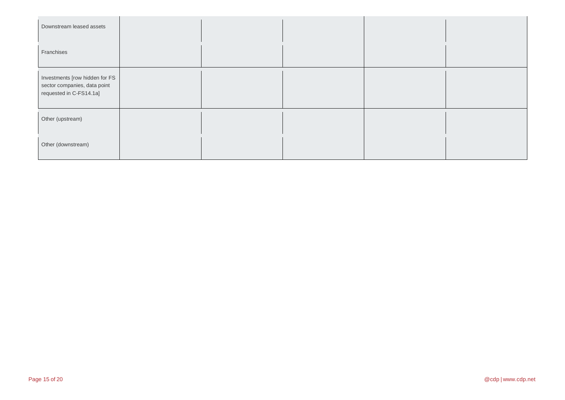| Downstream leased assets                                                                  |  |  |  |
|-------------------------------------------------------------------------------------------|--|--|--|
| Franchises                                                                                |  |  |  |
| Investments [row hidden for FS<br>sector companies, data point<br>requested in C-FS14.1a] |  |  |  |
| Other (upstream)                                                                          |  |  |  |
| Other (downstream)                                                                        |  |  |  |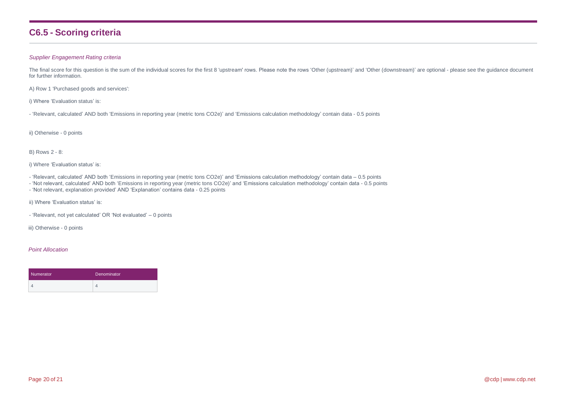## **C6.5 - Scoring criteria**

#### *Supplier Engagement Rating criteria*

The final score for this question is the sum of the individual scores for the first 8 'upstream' rows. Please note the rows 'Other (upstream)' and 'Other (downstream)' are optional - please see the guidance document for further information.

A) Row 1 'Purchased goods and services':

i) Where 'Evaluation status' is:

- 'Relevant, calculated' AND both 'Emissions in reporting year (metric tons CO2e)' and 'Emissions calculation methodology' contain data - 0.5 points

ii) Otherwise - 0 points

#### B) Rows 2 - 8:

i) Where 'Evaluation status' is:

- 'Relevant, calculated' AND both 'Emissions in reporting year (metric tons CO2e)' and 'Emissions calculation methodology' contain data 0.5 points
- 'Not relevant, calculated' AND both 'Emissions in reporting year (metric tons CO2e)' and 'Emissions calculation methodology' contain data 0.5 points
- 'Not relevant, explanation provided' AND 'Explanation' contains data 0.25 points

ii) Where 'Evaluation status' is:

- 'Relevant, not yet calculated' OR 'Not evaluated' – 0 points

iii) Otherwise - 0 points

| Numerator | Denominator |  |  |
|-----------|-------------|--|--|
|           |             |  |  |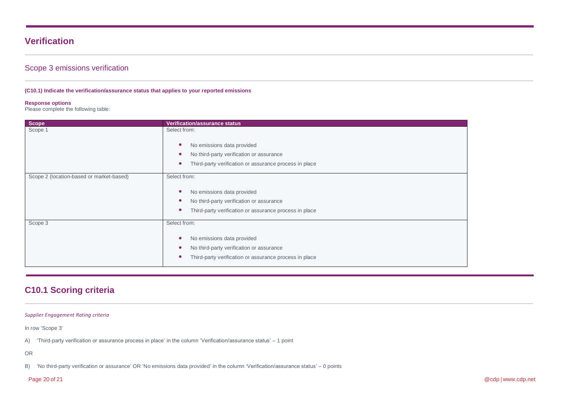## **Verification**

## Scope 3 emissions verification

#### **(C10.1) Indicate the verification/assurance status that applies to your reported emissions**

#### **Response options**

Please complete the following table:

| <b>Scope</b>                             | <b>Verification/assurance status</b>                                                                                                             |
|------------------------------------------|--------------------------------------------------------------------------------------------------------------------------------------------------|
| Scope 1                                  | Select from:<br>No emissions data provided                                                                                                       |
|                                          | No third-party verification or assurance<br>Third-party verification or assurance process in place                                               |
|                                          |                                                                                                                                                  |
| Scope 2 (location-based or market-based) | Select from:<br>No emissions data provided<br>No third-party verification or assurance<br>Third-party verification or assurance process in place |
| Scope 3                                  | Select from:<br>No emissions data provided<br>No third-party verification or assurance<br>Third-party verification or assurance process in place |

## **C10.1 Scoring criteria**

#### *Supplier Engagement Rating criteria*

In row 'Scope 3'

A) 'Third-party verification or assurance process in place' in the column 'Verification/assurance status' – 1 point

OR

B) 'No third-party verification or assurance' OR 'No emissions data provided' in the column 'Verification/assurance status' – 0 points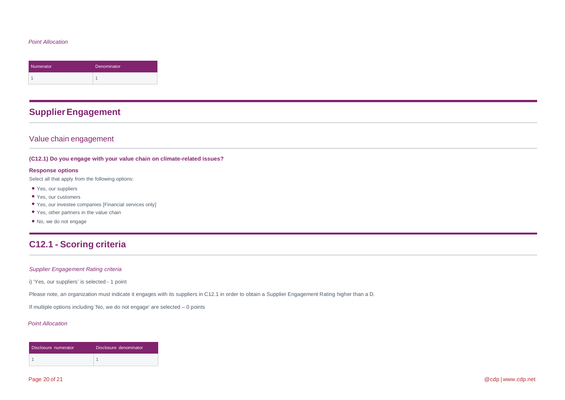#### *Point Allocation*

| Numerator | Denominator |
|-----------|-------------|
|           |             |

## **SupplierEngagement**

## Value chain engagement

#### **(C12.1) Do you engage with your value chain on climate-related issues?**

#### **Response options**

Select all that apply from the following options:

- Yes, our suppliers
- Yes, our customers
- Yes, our investee companies [Financial services only]
- Yes, other partners in the value chain
- No, we do not engage

## **C12.1 - Scoring criteria**

#### *Supplier Engagement Rating criteria*

i) 'Yes, our suppliers' is selected - 1 point

Please note, an organization must indicate it engages with its suppliers in C12.1 in order to obtain a Supplier Engagement Rating higher than a D.

If multiple options including 'No, we do not engage' are selected – 0 points

| Disclosure numerator | Disclosure denominator |
|----------------------|------------------------|
|                      |                        |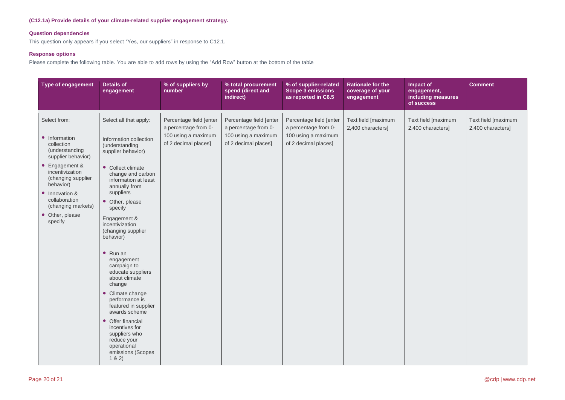#### **(C12.1a) Provide details of your climate-related supplier engagement strategy.**

### **Question dependencies**

This question only appears if you select "Yes, our suppliers" in response to C12.1.

#### **Response options**

Please complete the following table. You are able to add rows by using the "Add Row" button at the bottom of the table

| Type of engagement                                                                                                                                                                                                                                 | <b>Details of</b><br>engagement                                                                                                                                                                                                                                                                                                                                                                                                                                                                                                                                                         | % of suppliers by<br>number                                                                    | % total procurement<br>spend (direct and<br>indirect)                                          | % of supplier-related<br><b>Scope 3 emissions</b><br>as reported in C6.5                       | <b>Rationale for the</b><br>coverage of your<br>engagement | Impact of<br>engagement,<br>including measures<br>of success | <b>Comment</b>                           |
|----------------------------------------------------------------------------------------------------------------------------------------------------------------------------------------------------------------------------------------------------|-----------------------------------------------------------------------------------------------------------------------------------------------------------------------------------------------------------------------------------------------------------------------------------------------------------------------------------------------------------------------------------------------------------------------------------------------------------------------------------------------------------------------------------------------------------------------------------------|------------------------------------------------------------------------------------------------|------------------------------------------------------------------------------------------------|------------------------------------------------------------------------------------------------|------------------------------------------------------------|--------------------------------------------------------------|------------------------------------------|
| Select from:<br>• Information<br>collection<br>(understanding<br>supplier behavior)<br>• Engagement &<br>incentivization<br>(changing supplier<br>behavior)<br>• Innovation &<br>collaboration<br>(changing markets)<br>• Other, please<br>specify | Select all that apply:<br>Information collection<br>(understanding<br>supplier behavior)<br>• Collect climate<br>change and carbon<br>information at least<br>annually from<br>suppliers<br>• Other, please<br>specify<br>Engagement &<br>incentivization<br>(changing supplier<br>behavior)<br>$\bullet$ Run an<br>engagement<br>campaign to<br>educate suppliers<br>about climate<br>change<br>• Climate change<br>performance is<br>featured in supplier<br>awards scheme<br>• Offer financial<br>incentives for<br>suppliers who<br>reduce your<br>operational<br>emissions (Scopes | Percentage field [enter<br>a percentage from 0-<br>100 using a maximum<br>of 2 decimal places] | Percentage field [enter<br>a percentage from 0-<br>100 using a maximum<br>of 2 decimal places] | Percentage field [enter<br>a percentage from 0-<br>100 using a maximum<br>of 2 decimal places] | Text field [maximum<br>2,400 characters]                   | Text field [maximum<br>2,400 characters]                     | Text field [maximum<br>2,400 characters] |
|                                                                                                                                                                                                                                                    | 1 & 2)                                                                                                                                                                                                                                                                                                                                                                                                                                                                                                                                                                                  |                                                                                                |                                                                                                |                                                                                                |                                                            |                                                              |                                          |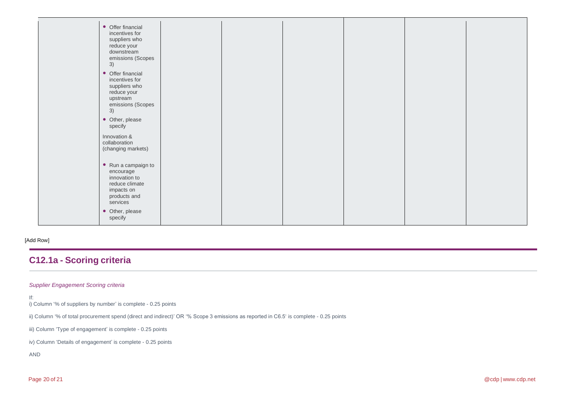| • Offer financial<br>incentives for<br>suppliers who<br>reduce your<br>downstream<br>emissions (Scopes<br>3)          |  |  |  |
|-----------------------------------------------------------------------------------------------------------------------|--|--|--|
| • Offer financial<br>incentives for<br>suppliers who<br>reduce your<br>upstream<br>emissions (Scopes<br>3)            |  |  |  |
| • Other, please<br>specify                                                                                            |  |  |  |
| Innovation &<br>collaboration<br>(changing markets)                                                                   |  |  |  |
| $\bullet$ Run a campaign to<br>encourage<br>innovation to<br>reduce climate<br>impacts on<br>products and<br>services |  |  |  |
| • Other, please<br>specify                                                                                            |  |  |  |

#### [Add Row]

## **C12.1a - Scoring criteria**

### *Supplier Engagement Scoring criteria*

If:

- i) Column '% of suppliers by number' is complete 0.25 points
- ii) Column '% of total procurement spend (direct and indirect)' OR '% Scope 3 emissions as reported in C6.5' is complete 0.25 points
- iii) Column 'Type of engagement' is complete 0.25 points
- iv) Column 'Details of engagement' is complete 0.25 points

#### AND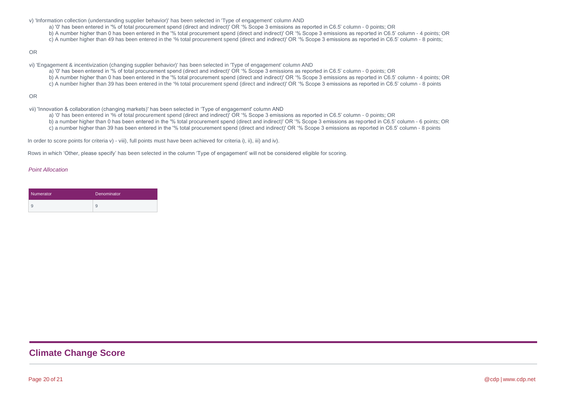- v) 'Information collection (understanding supplier behavior)' has been selected in 'Type of engagement' column AND
	- a) '0' has been entered in '% of total procurement spend (direct and indirect)' OR '% Scope 3 emissions as reported in C6.5' column 0 points; OR
	- b) A number higher than 0 has been entered in the '% total procurement spend (direct and indirect)' OR '% Scope 3 emissions as reported in C6.5' column 4 points; OR
	- c) A number higher than 49 has been entered in the '% total procurement spend (direct and indirect)' OR '% Scope 3 emissions as reported in C6.5' column 8 points;

#### OR

- vi) 'Engagement & incentivization (changing supplier behavior)' has been selected in 'Type of engagement' column AND
	- a) '0' has been entered in '% of total procurement spend (direct and indirect)' OR '% Scope 3 emissions as reported in C6.5' column 0 points; OR
		- b) A number higher than 0 has been entered in the '% total procurement spend (direct and indirect)' OR '% Scope 3 emissions as reported in C6.5' column 4 points; OR
	- c) A number higher than 39 has been entered in the '% total procurement spend (direct and indirect)' OR '% Scope 3 emissions as reported in C6.5' column 8 points

#### OR

- vii) 'Innovation & collaboration (changing markets)' has been selected in 'Type of engagement' column AND
	- a) '0' has been entered in '% of total procurement spend (direct and indirect)' OR '% Scope 3 emissions as reported in C6.5' column 0 points; OR
	- b) a number higher than 0 has been entered in the '% total procurement spend (direct and indirect)' OR '% Scope 3 emissions as reported in C6.5' column 6 points; OR c) a number higher than 39 has been entered in the '% total procurement spend (direct and indirect)' OR '% Scope 3 emissions as reported in C6.5' column - 8 points

In order to score points for criteria v) - viii), full points must have been achieved for criteria i), ii), iii) and iv).

Rows in which 'Other, please specify' has been selected in the column 'Type of engagement' will not be considered eligible for scoring.

#### *Point Allocation*

| Numerator | Denominator |
|-----------|-------------|
| -9        | 9           |

## **Climate Change Score**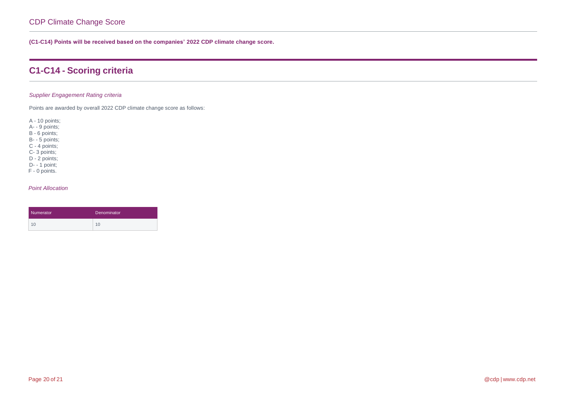**(C1-C14) Points will be received based on the companies' 2022 CDP climate change score.**

## **C1-C14 - Scoring criteria**

### *Supplier Engagement Rating criteria*

Points are awarded by overall 2022 CDP climate change score as follows:

A - 10 points;

A- - 9 points;

B - 6 points;

B- - 5 points;

C - 4 points;

C- 3 points; D - 2 points;

D- - 1 point;

F - 0 points.

| Numerator | <b>Denominator</b> |
|-----------|--------------------|
| 10        | 10                 |